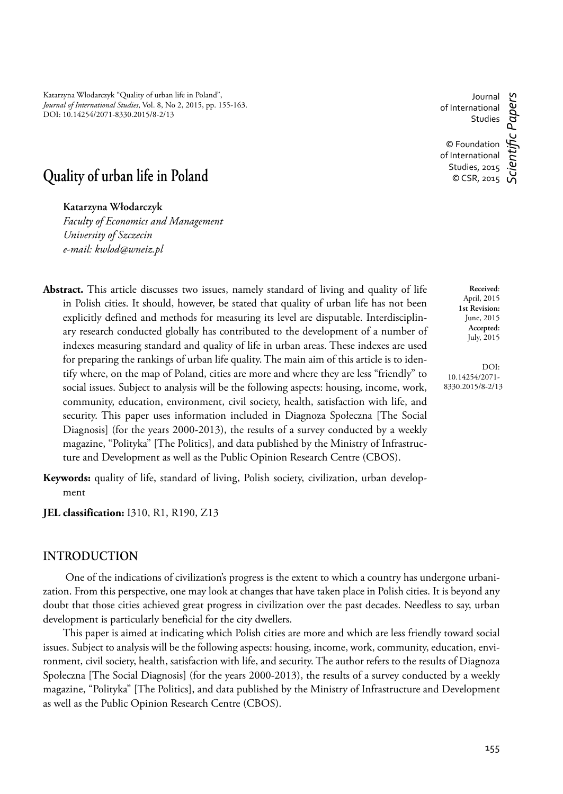Katarzyna Włodarczyk "Quality of urban life in Poland", *Journal of International Studies*, Vol. 8, No 2, 2015, pp. 155-163. DOI: 10.14254/2071-8330.2015/8-2/13

Journal of International Studies

c Papers *Scientifi c Papers* © Foundation of International Studies, 2015  $\circ$  CSR, 2015

# **Quality of urban life in Poland**

**Katarzyna Włodarczyk**

*Faculty of Economics and Management University of Szczecin e-mail: kwlod@wneiz.pl*

- **Abstract.** This article discusses two issues, namely standard of living and quality of life in Polish cities. It should, however, be stated that quality of urban life has not been explicitly defined and methods for measuring its level are disputable. Interdisciplinary research conducted globally has contributed to the development of a number of indexes measuring standard and quality of life in urban areas. These indexes are used for preparing the rankings of urban life quality. The main aim of this article is to identify where, on the map of Poland, cities are more and where they are less "friendly" to social issues. Subject to analysis will be the following aspects: housing, income, work, community, education, environment, civil society, health, satisfaction with life, and security. This paper uses information included in Diagnoza Społeczna [The Social Diagnosis] (for the years 2000-2013), the results of a survey conducted by a weekly magazine, "Polityka" [The Politics], and data published by the Ministry of Infrastructure and Development as well as the Public Opinion Research Centre (CBOS).
- **Keywords:** quality of life, standard of living, Polish society, civilization, urban development
- **JEL classification:** I310, R1, R190, Z13

## **INTRODUCTION**

One of the indications of civilization's progress is the extent to which a country has undergone urbanization. From this perspective, one may look at changes that have taken place in Polish cities. It is beyond any doubt that those cities achieved great progress in civilization over the past decades. Needless to say, urban development is particularly beneficial for the city dwellers.

This paper is aimed at indicating which Polish cities are more and which are less friendly toward social issues. Subject to analysis will be the following aspects: housing, income, work, community, education, environment, civil society, health, satisfaction with life, and security. The author refers to the results of Diagnoza Społeczna [The Social Diagnosis] (for the years 2000-2013), the results of a survey conducted by a weekly magazine, "Polityka" [The Politics], and data published by the Ministry of Infrastructure and Development as well as the Public Opinion Research Centre (CBOS).

April, 2015 **1st Revision:** June, 2015 **Accepted:** July, 2015

**Received**:

DOI: 10.14254/2071- 8330.2015/8-2/13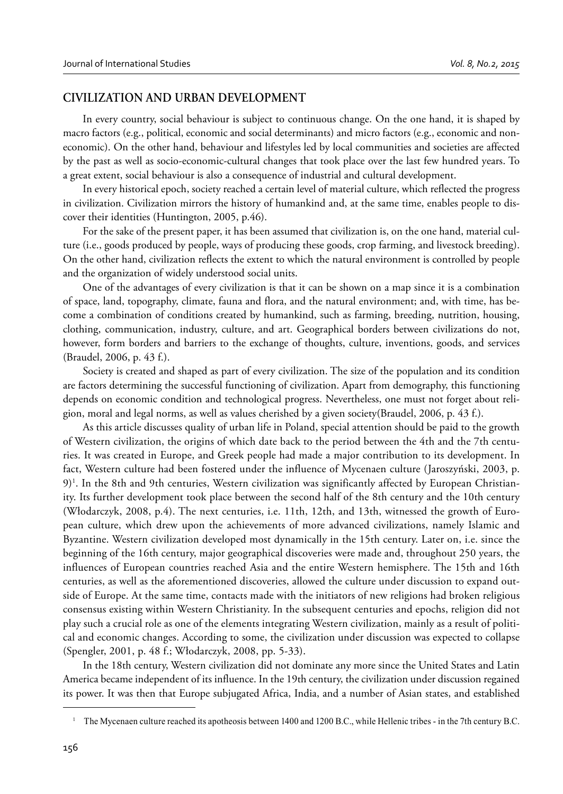## **CIVILIZATION AND URBAN DEVELOPMENT**

In every country, social behaviour is subject to continuous change. On the one hand, it is shaped by macro factors (e.g., political, economic and social determinants) and micro factors (e.g., economic and noneconomic). On the other hand, behaviour and lifestyles led by local communities and societies are affected by the past as well as socio-economic-cultural changes that took place over the last few hundred years. To a great extent, social behaviour is also a consequence of industrial and cultural development.

In every historical epoch, society reached a certain level of material culture, which reflected the progress in civilization. Civilization mirrors the history of humankind and, at the same time, enables people to discover their identities (Huntington, 2005, p.46).

For the sake of the present paper, it has been assumed that civilization is, on the one hand, material culture (i.e., goods produced by people, ways of producing these goods, crop farming, and livestock breeding). On the other hand, civilization reflects the extent to which the natural environment is controlled by people and the organization of widely understood social units.

One of the advantages of every civilization is that it can be shown on a map since it is a combination of space, land, topography, climate, fauna and flora, and the natural environment; and, with time, has become a combination of conditions created by humankind, such as farming, breeding, nutrition, housing, clothing, communication, industry, culture, and art. Geographical borders between civilizations do not, however, form borders and barriers to the exchange of thoughts, culture, inventions, goods, and services (Braudel, 2006, p. 43 f.).

Society is created and shaped as part of every civilization. The size of the population and its condition are factors determining the successful functioning of civilization. Apart from demography, this functioning depends on economic condition and technological progress. Nevertheless, one must not forget about religion, moral and legal norms, as well as values cherished by a given society(Braudel, 2006, p. 43 f.).

As this article discusses quality of urban life in Poland, special attention should be paid to the growth of Western civilization, the origins of which date back to the period between the 4th and the 7th centuries. It was created in Europe, and Greek people had made a major contribution to its development. In fact, Western culture had been fostered under the influence of Mycenaen culture (Jaroszyński, 2003, p. 9)1 . In the 8th and 9th centuries, Western civilization was significantly affected by European Christianity. Its further development took place between the second half of the 8th century and the 10th century (Włodarczyk, 2008, p.4). The next centuries, i.e. 11th, 12th, and 13th, witnessed the growth of European culture, which drew upon the achievements of more advanced civilizations, namely Islamic and Byzantine. Western civilization developed most dynamically in the 15th century. Later on, i.e. since the beginning of the 16th century, major geographical discoveries were made and, throughout 250 years, the influences of European countries reached Asia and the entire Western hemisphere. The 15th and 16th centuries, as well as the aforementioned discoveries, allowed the culture under discussion to expand outside of Europe. At the same time, contacts made with the initiators of new religions had broken religious consensus existing within Western Christianity. In the subsequent centuries and epochs, religion did not play such a crucial role as one of the elements integrating Western civilization, mainly as a result of political and economic changes. According to some, the civilization under discussion was expected to collapse (Spengler, 2001, p. 48 f.; Włodarczyk, 2008, pp. 5-33).

In the 18th century, Western civilization did not dominate any more since the United States and Latin America became independent of its influence. In the 19th century, the civilization under discussion regained its power. It was then that Europe subjugated Africa, India, and a number of Asian states, and established

<sup>1</sup> The Mycenaen culture reached its apotheosis between 1400 and 1200 B.C., while Hellenic tribes - in the 7th century B.C.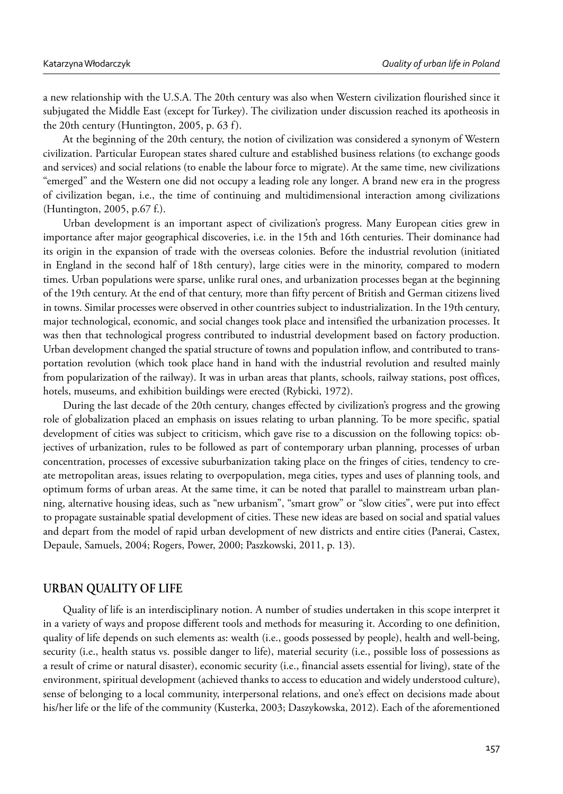a new relationship with the U.S.A. The 20th century was also when Western civilization flourished since it subjugated the Middle East (except for Turkey). The civilization under discussion reached its apotheosis in the 20th century (Huntington, 2005, p. 63 f).

At the beginning of the 20th century, the notion of civilization was considered a synonym of Western civilization. Particular European states shared culture and established business relations (to exchange goods and services) and social relations (to enable the labour force to migrate). At the same time, new civilizations "emerged" and the Western one did not occupy a leading role any longer. A brand new era in the progress of civilization began, i.e., the time of continuing and multidimensional interaction among civilizations (Huntington, 2005, p.67 f.).

Urban development is an important aspect of civilization's progress. Many European cities grew in importance after major geographical discoveries, i.e. in the 15th and 16th centuries. Their dominance had its origin in the expansion of trade with the overseas colonies. Before the industrial revolution (initiated in England in the second half of 18th century), large cities were in the minority, compared to modern times. Urban populations were sparse, unlike rural ones, and urbanization processes began at the beginning of the 19th century. At the end of that century, more than fifty percent of British and German citizens lived in towns. Similar processes were observed in other countries subject to industrialization. In the 19th century, major technological, economic, and social changes took place and intensified the urbanization processes. It was then that technological progress contributed to industrial development based on factory production. Urban development changed the spatial structure of towns and population inflow, and contributed to transportation revolution (which took place hand in hand with the industrial revolution and resulted mainly from popularization of the railway). It was in urban areas that plants, schools, railway stations, post offices, hotels, museums, and exhibition buildings were erected (Rybicki, 1972).

During the last decade of the 20th century, changes effected by civilization's progress and the growing role of globalization placed an emphasis on issues relating to urban planning. To be more specific, spatial development of cities was subject to criticism, which gave rise to a discussion on the following topics: objectives of urbanization, rules to be followed as part of contemporary urban planning, processes of urban concentration, processes of excessive suburbanization taking place on the fringes of cities, tendency to create metropolitan areas, issues relating to overpopulation, mega cities, types and uses of planning tools, and optimum forms of urban areas. At the same time, it can be noted that parallel to mainstream urban planning, alternative housing ideas, such as "new urbanism", "smart grow" or "slow cities", were put into effect to propagate sustainable spatial development of cities. These new ideas are based on social and spatial values and depart from the model of rapid urban development of new districts and entire cities (Panerai, Castex, Depaule, Samuels, 2004; Rogers, Power, 2000; Paszkowski, 2011, p. 13).

# **URBAN QUALITY OF LIFE**

Quality of life is an interdisciplinary notion. A number of studies undertaken in this scope interpret it in a variety of ways and propose different tools and methods for measuring it. According to one definition, quality of life depends on such elements as: wealth (i.e., goods possessed by people), health and well-being, security (i.e., health status vs. possible danger to life), material security (i.e., possible loss of possessions as a result of crime or natural disaster), economic security (i.e., financial assets essential for living), state of the environment, spiritual development (achieved thanks to access to education and widely understood culture), sense of belonging to a local community, interpersonal relations, and one's effect on decisions made about his/her life or the life of the community (Kusterka, 2003; Daszykowska, 2012). Each of the aforementioned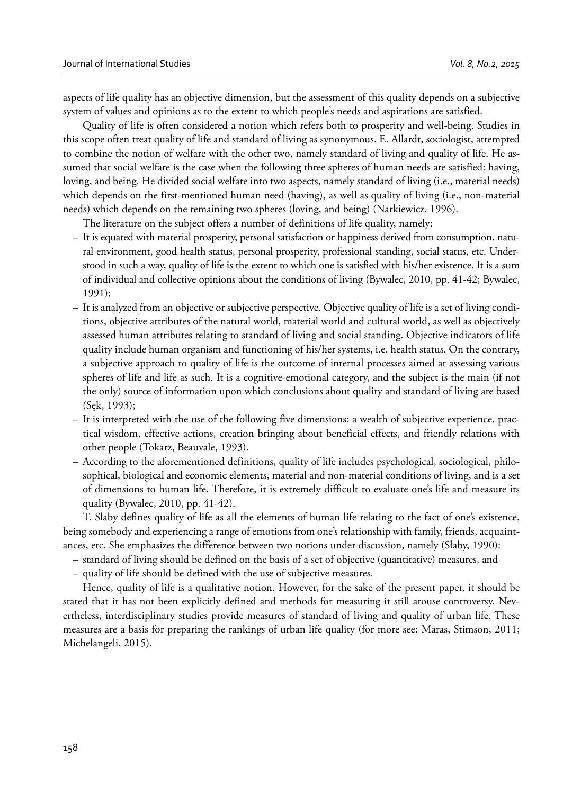aspects of life quality has an objective dimension, but the assessment of this quality depends on a subjective system of values and opinions as to the extent to which people's needs and aspirations are satisfied.

Quality of life is often considered a notion which refers both to prosperity and well-being. Studies in this scope often treat quality of life and standard of living as synonymous. E. Allardt, sociologist, attempted to combine the notion of welfare with the other two, namely standard of living and quality of life. He assumed that social welfare is the case when the following three spheres of human needs are satisfied: having, loving, and being. He divided social welfare into two aspects, namely standard of living (i.e., material needs) which depends on the first-mentioned human need (having), as well as quality of living (i.e., non-material needs) which depends on the remaining two spheres (loving, and being) (Narkiewicz, 1996).

The literature on the subject offers a number of definitions of life quality, namely:

- It is equated with material prosperity, personal satisfaction or happiness derived from consumption, natural environment, good health status, personal prosperity, professional standing, social status, etc. Understood in such a way, quality of life is the extent to which one is satisfied with his/her existence. It is a sum of individual and collective opinions about the conditions of living (Bywalec, 2010, pp. 41-42; Bywalec, 1991);
- It is analyzed from an objective or subjective perspective. Objective quality of life is a set of living conditions, objective attributes of the natural world, material world and cultural world, as well as objectively assessed human attributes relating to standard of living and social standing. Objective indicators of life quality include human organism and functioning of his/her systems, i.e. health status. On the contrary, a subjective approach to quality of life is the outcome of internal processes aimed at assessing various spheres of life and life as such. It is a cognitive-emotional category, and the subject is the main (if not the only) source of information upon which conclusions about quality and standard of living are based (Sęk, 1993);
- It is interpreted with the use of the following five dimensions: a wealth of subjective experience, practical wisdom, effective actions, creation bringing about beneficial effects, and friendly relations with other people (Tokarz, Beauvale, 1993).
- According to the aforementioned definitions, quality of life includes psychological, sociological, philosophical, biological and economic elements, material and non-material conditions of living, and is a set of dimensions to human life. Therefore, it is extremely difficult to evaluate one's life and measure its quality (Bywalec, 2010, pp. 41-42).

T. Słaby defines quality of life as all the elements of human life relating to the fact of one's existence, being somebody and experiencing a range of emotions from one's relationship with family, friends, acquaintances, etc. She emphasizes the difference between two notions under discussion, namely (Słaby, 1990):

- standard of living should be defined on the basis of a set of objective (quantitative) measures, and
- quality of life should be defined with the use of subjective measures.

Hence, quality of life is a qualitative notion. However, for the sake of the present paper, it should be stated that it has not been explicitly defined and methods for measuring it still arouse controversy. Nevertheless, interdisciplinary studies provide measures of standard of living and quality of urban life. These measures are a basis for preparing the rankings of urban life quality (for more see: Maras, Stimson, 2011; Michelangeli, 2015).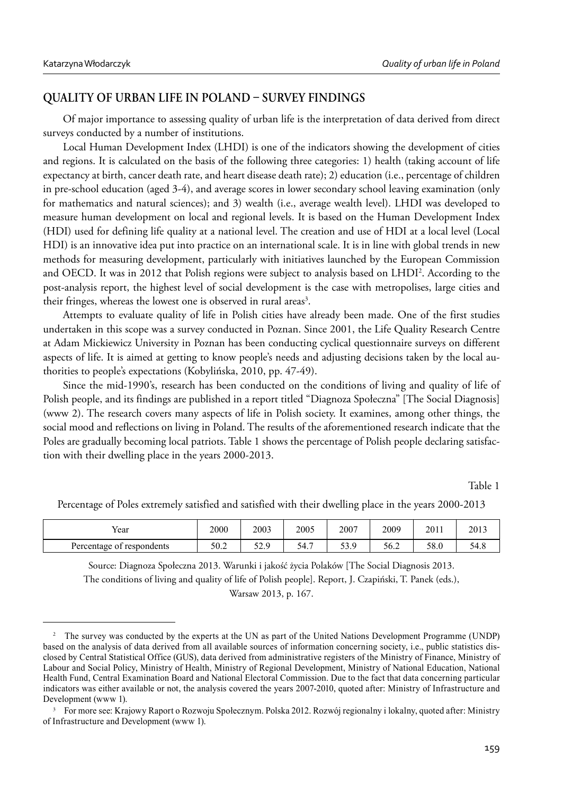# **QUALITY OF URBAN LIFE IN POLAND - SURVEY FINDINGS**

Of major importance to assessing quality of urban life is the interpretation of data derived from direct surveys conducted by a number of institutions.

Local Human Development Index (LHDI) is one of the indicators showing the development of cities and regions. It is calculated on the basis of the following three categories: 1) health (taking account of life expectancy at birth, cancer death rate, and heart disease death rate); 2) education (i.e., percentage of children in pre-school education (aged 3-4), and average scores in lower secondary school leaving examination (only for mathematics and natural sciences); and 3) wealth (i.e., average wealth level). LHDI was developed to measure human development on local and regional levels. It is based on the Human Development Index (HDI) used for defining life quality at a national level. The creation and use of HDI at a local level (Local HDI) is an innovative idea put into practice on an international scale. It is in line with global trends in new methods for measuring development, particularly with initiatives launched by the European Commission and OECD. It was in 2012 that Polish regions were subject to analysis based on LHDI2 . According to the post-analysis report, the highest level of social development is the case with metropolises, large cities and their fringes, whereas the lowest one is observed in rural areas<sup>3</sup>.

Attempts to evaluate quality of life in Polish cities have already been made. One of the first studies undertaken in this scope was a survey conducted in Poznan. Since 2001, the Life Quality Research Centre at Adam Mickiewicz University in Poznan has been conducting cyclical questionnaire surveys on different aspects of life. It is aimed at getting to know people's needs and adjusting decisions taken by the local authorities to people's expectations (Kobylińska, 2010, pp. 47-49).

Since the mid-1990's, research has been conducted on the conditions of living and quality of life of Polish people, and its findings are published in a report titled "Diagnoza Społeczna" [The Social Diagnosis] (www 2). The research covers many aspects of life in Polish society. It examines, among other things, the social mood and reflections on living in Poland. The results of the aforementioned research indicate that the Poles are gradually becoming local patriots. Table 1 shows the percentage of Polish people declaring satisfaction with their dwelling place in the years 2000-2013.

Table 1

| Year                      | 2000 | 2003           | 2005                                 | 2007         | 2009 | 2011 | 2013 |
|---------------------------|------|----------------|--------------------------------------|--------------|------|------|------|
| Percentage of respondents | 50.2 | 57.0<br>ر . با | 54<br>$\overline{\phantom{0}}$<br>ີ່ | 0 ھ<br>ر . ر | 56.2 | 58.0 | 54   |

Percentage of Poles extremely satisfied and satisfied with their dwelling place in the years 2000-2013

Source: Diagnoza Społeczna 2013. Warunki i jakość życia Polaków [The Social Diagnosis 2013. The conditions of living and quality of life of Polish people]. Report, J. Czapiński, T. Panek (eds.), Warsaw 2013, p. 167.

<sup>&</sup>lt;sup>2</sup> The survey was conducted by the experts at the UN as part of the United Nations Development Programme (UNDP) based on the analysis of data derived from all available sources of information concerning society, i.e., public statistics disclosed by Central Statistical Office (GUS), data derived from administrative registers of the Ministry of Finance, Ministry of Labour and Social Policy, Ministry of Health, Ministry of Regional Development, Ministry of National Education, National Health Fund, Central Examination Board and National Electoral Commission. Due to the fact that data concerning particular indicators was either available or not, the analysis covered the years 2007-2010, quoted after: Ministry of Infrastructure and Development (www 1).

<sup>&</sup>lt;sup>3</sup> For more see: Krajowy Raport o Rozwoju Społecznym. Polska 2012. Rozwój regionalny i lokalny, quoted after: Ministry of Infrastructure and Development (www 1).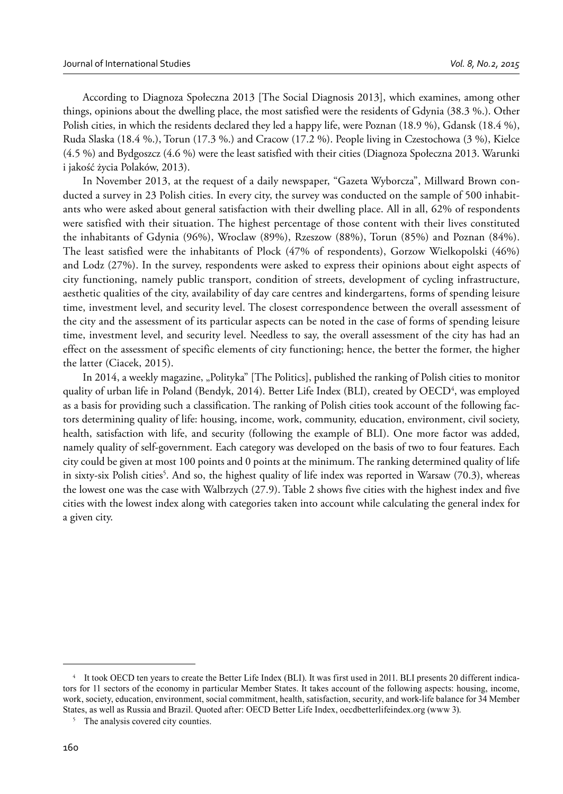According to Diagnoza Społeczna 2013 [The Social Diagnosis 2013], which examines, among other things, opinions about the dwelling place, the most satisfied were the residents of Gdynia (38.3 %.). Other Polish cities, in which the residents declared they led a happy life, were Poznan (18.9 %), Gdansk (18.4 %), Ruda Slaska (18.4 %.), Torun (17.3 %.) and Cracow (17.2 %). People living in Czestochowa (3 %), Kielce (4.5 %) and Bydgoszcz (4.6 %) were the least satisfied with their cities (Diagnoza Społeczna 2013. Warunki i jakość życia Polaków, 2013).

In November 2013, at the request of a daily newspaper, "Gazeta Wyborcza", Millward Brown conducted a survey in 23 Polish cities. In every city, the survey was conducted on the sample of 500 inhabitants who were asked about general satisfaction with their dwelling place. All in all, 62% of respondents were satisfied with their situation. The highest percentage of those content with their lives constituted the inhabitants of Gdynia (96%), Wroclaw (89%), Rzeszow (88%), Torun (85%) and Poznan (84%). The least satisfied were the inhabitants of Plock (47% of respondents), Gorzow Wielkopolski (46%) and Lodz (27%). In the survey, respondents were asked to express their opinions about eight aspects of city functioning, namely public transport, condition of streets, development of cycling infrastructure, aesthetic qualities of the city, availability of day care centres and kindergartens, forms of spending leisure time, investment level, and security level. The closest correspondence between the overall assessment of the city and the assessment of its particular aspects can be noted in the case of forms of spending leisure time, investment level, and security level. Needless to say, the overall assessment of the city has had an effect on the assessment of specific elements of city functioning; hence, the better the former, the higher the latter (Ciacek, 2015).

In 2014, a weekly magazine, "Polityka" [The Politics], published the ranking of Polish cities to monitor quality of urban life in Poland (Bendyk, 2014). Better Life Index (BLI), created by OECD<sup>4</sup>, was employed as a basis for providing such a classification. The ranking of Polish cities took account of the following factors determining quality of life: housing, income, work, community, education, environment, civil society, health, satisfaction with life, and security (following the example of BLI). One more factor was added, namely quality of self-government. Each category was developed on the basis of two to four features. Each city could be given at most 100 points and 0 points at the minimum. The ranking determined quality of life in sixty-six Polish cities<sup>5</sup>. And so, the highest quality of life index was reported in Warsaw (70.3), whereas the lowest one was the case with Walbrzych (27.9). Table 2 shows five cities with the highest index and five cities with the lowest index along with categories taken into account while calculating the general index for a given city.

It took OECD ten years to create the Better Life Index (BLI). It was first used in 2011. BLI presents 20 different indicators for 11 sectors of the economy in particular Member States. It takes account of the following aspects: housing, income, work, society, education, environment, social commitment, health, satisfaction, security, and work-life balance for 34 Member States, as well as Russia and Brazil. Quoted after: OECD Better Life Index, oecdbetterlifeindex.org (www 3).

<sup>&</sup>lt;sup>5</sup> The analysis covered city counties.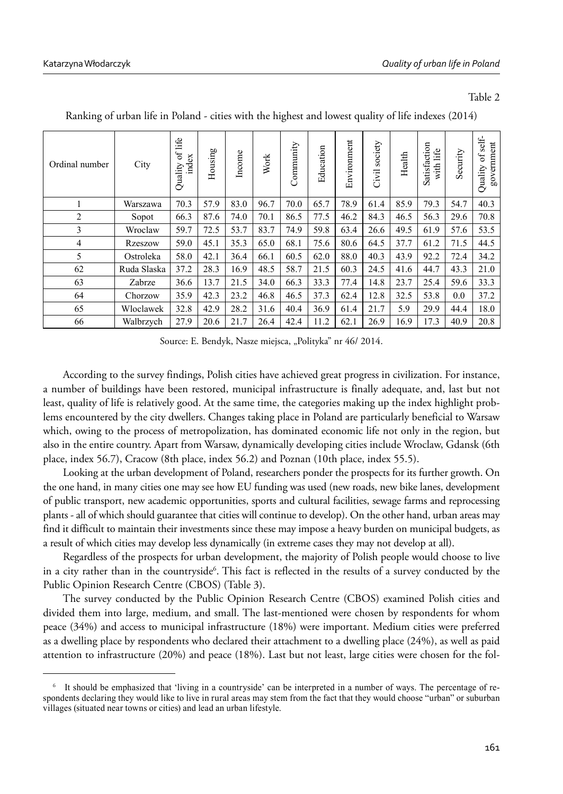### Table 2

| Ordinal number | City        | of life<br>index<br>Quality | Housing | Income | Work | Community | Education | Environment | society<br>Civil | Health | Satisfaction<br>with life | Security | self-<br>government<br>$\sigma$<br>Quality |
|----------------|-------------|-----------------------------|---------|--------|------|-----------|-----------|-------------|------------------|--------|---------------------------|----------|--------------------------------------------|
|                | Warszawa    | 70.3                        | 57.9    | 83.0   | 96.7 | 70.0      | 65.7      | 78.9        | 61.4             | 85.9   | 79.3                      | 54.7     | 40.3                                       |
| $\overline{2}$ | Sopot       | 66.3                        | 87.6    | 74.0   | 70.1 | 86.5      | 77.5      | 46.2        | 84.3             | 46.5   | 56.3                      | 29.6     | 70.8                                       |
| 3              | Wroclaw     | 59.7                        | 72.5    | 53.7   | 83.7 | 74.9      | 59.8      | 63.4        | 26.6             | 49.5   | 61.9                      | 57.6     | 53.5                                       |
| $\overline{4}$ | Rzeszow     | 59.0                        | 45.1    | 35.3   | 65.0 | 68.1      | 75.6      | 80.6        | 64.5             | 37.7   | 61.2                      | 71.5     | 44.5                                       |
| 5              | Ostroleka   | 58.0                        | 42.1    | 36.4   | 66.1 | 60.5      | 62.0      | 88.0        | 40.3             | 43.9   | 92.2                      | 72.4     | 34.2                                       |
| 62             | Ruda Slaska | 37.2                        | 28.3    | 16.9   | 48.5 | 58.7      | 21.5      | 60.3        | 24.5             | 41.6   | 44.7                      | 43.3     | 21.0                                       |
| 63             | Zabrze      | 36.6                        | 13.7    | 21.5   | 34.0 | 66.3      | 33.3      | 77.4        | 14.8             | 23.7   | 25.4                      | 59.6     | 33.3                                       |
| 64             | Chorzow     | 35.9                        | 42.3    | 23.2   | 46.8 | 46.5      | 37.3      | 62.4        | 12.8             | 32.5   | 53.8                      | 0.0      | 37.2                                       |
| 65             | Wloclawek   | 32.8                        | 42.9    | 28.2   | 31.6 | 40.4      | 36.9      | 61.4        | 21.7             | 5.9    | 29.9                      | 44.4     | 18.0                                       |
| 66             | Walbrzych   | 27.9                        | 20.6    | 21.7   | 26.4 | 42.4      | 11.2      | 62.1        | 26.9             | 16.9   | 17.3                      | 40.9     | 20.8                                       |

Ranking of urban life in Poland - cities with the highest and lowest quality of life indexes (2014)

Source: E. Bendyk, Nasze miejsca, "Polityka" nr 46/ 2014.

According to the survey findings, Polish cities have achieved great progress in civilization. For instance, a number of buildings have been restored, municipal infrastructure is finally adequate, and, last but not least, quality of life is relatively good. At the same time, the categories making up the index highlight problems encountered by the city dwellers. Changes taking place in Poland are particularly beneficial to Warsaw which, owing to the process of metropolization, has dominated economic life not only in the region, but also in the entire country. Apart from Warsaw, dynamically developing cities include Wroclaw, Gdansk (6th place, index 56.7), Cracow (8th place, index 56.2) and Poznan (10th place, index 55.5).

Looking at the urban development of Poland, researchers ponder the prospects for its further growth. On the one hand, in many cities one may see how EU funding was used (new roads, new bike lanes, development of public transport, new academic opportunities, sports and cultural facilities, sewage farms and reprocessing plants - all of which should guarantee that cities will continue to develop). On the other hand, urban areas may find it difficult to maintain their investments since these may impose a heavy burden on municipal budgets, as a result of which cities may develop less dynamically (in extreme cases they may not develop at all).

Regardless of the prospects for urban development, the majority of Polish people would choose to live in a city rather than in the countryside<sup>6</sup>. This fact is reflected in the results of a survey conducted by the Public Opinion Research Centre (CBOS) (Table 3).

The survey conducted by the Public Opinion Research Centre (CBOS) examined Polish cities and divided them into large, medium, and small. The last-mentioned were chosen by respondents for whom peace (34%) and access to municipal infrastructure (18%) were important. Medium cities were preferred as a dwelling place by respondents who declared their attachment to a dwelling place (24%), as well as paid attention to infrastructure (20%) and peace (18%). Last but not least, large cities were chosen for the fol-

<sup>6</sup> It should be emphasized that 'living in a countryside' can be interpreted in a number of ways. The percentage of respondents declaring they would like to live in rural areas may stem from the fact that they would choose "urban" or suburban villages (situated near towns or cities) and lead an urban lifestyle.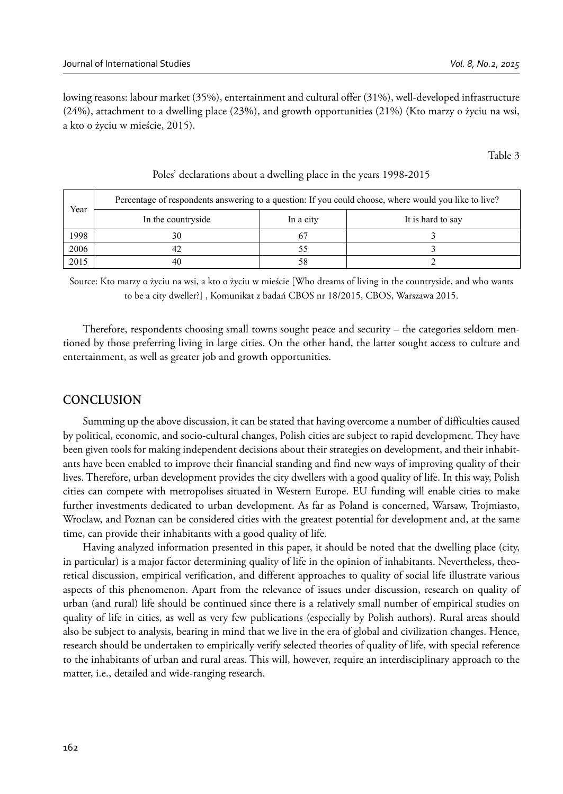lowing reasons: labour market (35%), entertainment and cultural offer (31%), well-developed infrastructure (24%), attachment to a dwelling place (23%), and growth opportunities (21%) (Kto marzy o życiu na wsi, a kto o życiu w mieście, 2015).

Table 3

| Year | Percentage of respondents answering to a question: If you could choose, where would you like to live? |           |                   |  |  |  |  |  |  |
|------|-------------------------------------------------------------------------------------------------------|-----------|-------------------|--|--|--|--|--|--|
|      | In the countryside                                                                                    | In a city | It is hard to say |  |  |  |  |  |  |
| 1998 | 30                                                                                                    |           |                   |  |  |  |  |  |  |
| 2006 |                                                                                                       |           |                   |  |  |  |  |  |  |
| 2015 | 40                                                                                                    |           |                   |  |  |  |  |  |  |

### Poles' declarations about a dwelling place in the years 1998-2015

Source: Kto marzy o życiu na wsi, a kto o życiu w mieście [Who dreams of living in the countryside, and who wants to be a city dweller?] , Komunikat z badań CBOS nr 18/2015, CBOS, Warszawa 2015.

Therefore, respondents choosing small towns sought peace and security – the categories seldom mentioned by those preferring living in large cities. On the other hand, the latter sought access to culture and entertainment, as well as greater job and growth opportunities.

# **CONCLUSION**

Summing up the above discussion, it can be stated that having overcome a number of difficulties caused by political, economic, and socio-cultural changes, Polish cities are subject to rapid development. They have been given tools for making independent decisions about their strategies on development, and their inhabitants have been enabled to improve their financial standing and find new ways of improving quality of their lives. Therefore, urban development provides the city dwellers with a good quality of life. In this way, Polish cities can compete with metropolises situated in Western Europe. EU funding will enable cities to make further investments dedicated to urban development. As far as Poland is concerned, Warsaw, Trojmiasto, Wroclaw, and Poznan can be considered cities with the greatest potential for development and, at the same time, can provide their inhabitants with a good quality of life.

Having analyzed information presented in this paper, it should be noted that the dwelling place (city, in particular) is a major factor determining quality of life in the opinion of inhabitants. Nevertheless, theoretical discussion, empirical verification, and different approaches to quality of social life illustrate various aspects of this phenomenon. Apart from the relevance of issues under discussion, research on quality of urban (and rural) life should be continued since there is a relatively small number of empirical studies on quality of life in cities, as well as very few publications (especially by Polish authors). Rural areas should also be subject to analysis, bearing in mind that we live in the era of global and civilization changes. Hence, research should be undertaken to empirically verify selected theories of quality of life, with special reference to the inhabitants of urban and rural areas. This will, however, require an interdisciplinary approach to the matter, i.e., detailed and wide-ranging research.